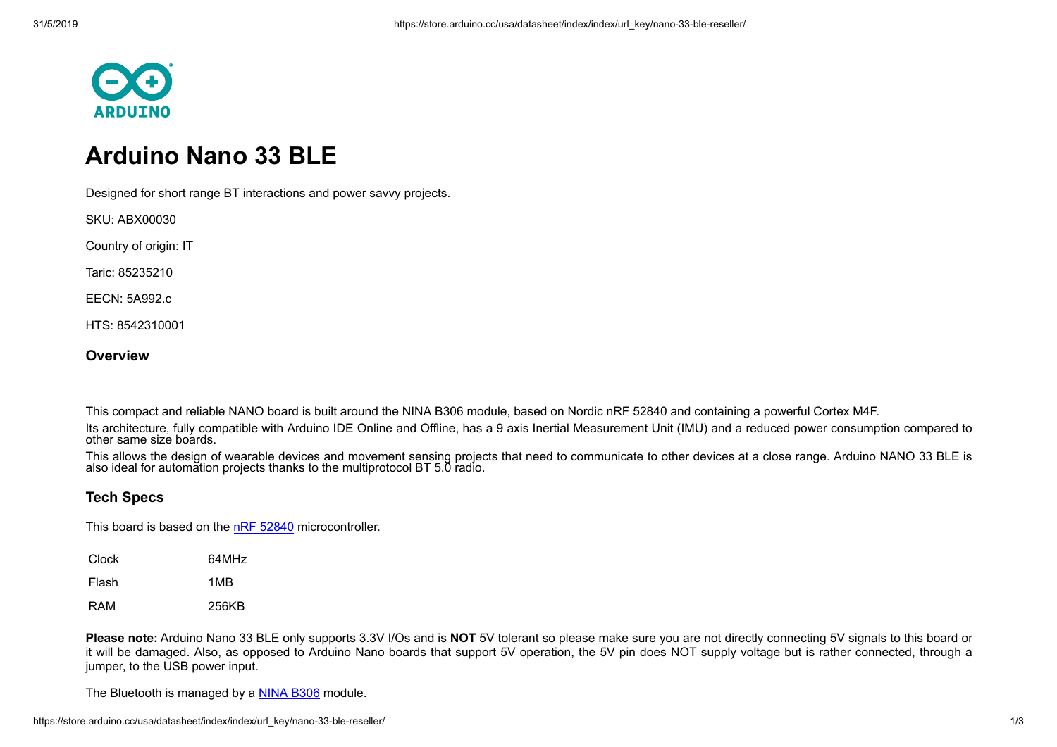

## **Arduino Nano 33 BLE**

Designed for short range BT interactions and power savvy projects.

SKU: ABX00030

Country of origin: IT

Taric: 85235210

EECN: 5A992.c

HTS: 8542310001

## **Overview**

This compact and reliable NANO board is built around the NINA B306 module, based on Nordic nRF 52840 and containing a powerful Cortex M4F.

Its architecture, fully compatible with Arduino IDE Online and Offline, has a 9 axis Inertial Measurement Unit (IMU) and a reduced power consumption compared to other same size boards.

This allows the design of wearable devices and movement sensing projects that need to communicate to other devices at a close range. Arduino NANO 33 BLE is also ideal for automation projects thanks to the multiprotocol BT 5.0 radio.

## **Tech Specs**

This board is based on the [nRF 52840](https://infocenter.nordicsemi.com/pdf/nRF52840_PS_v1.1.pdf) microcontroller.

| Clock | 64MHz |
|-------|-------|
| Flash | 1MB   |
| RAM   | 256KB |

**Please note:** Arduino Nano 33 BLE only supports 3.3V I/Os and is **NOT** 5V tolerant so please make sure you are not directly connecting 5V signals to this board or it will be damaged. Also, as opposed to Arduino Nano boards that support 5V operation, the 5V pin does NOT supply voltage but is rather connected, through a jumper, to the USB power input.

The Bluetooth is managed by a [NINA B306](https://www.u-blox.com/sites/default/files/NINA-B3_DataSheet_%28UBX-17052099%29.pdf) module.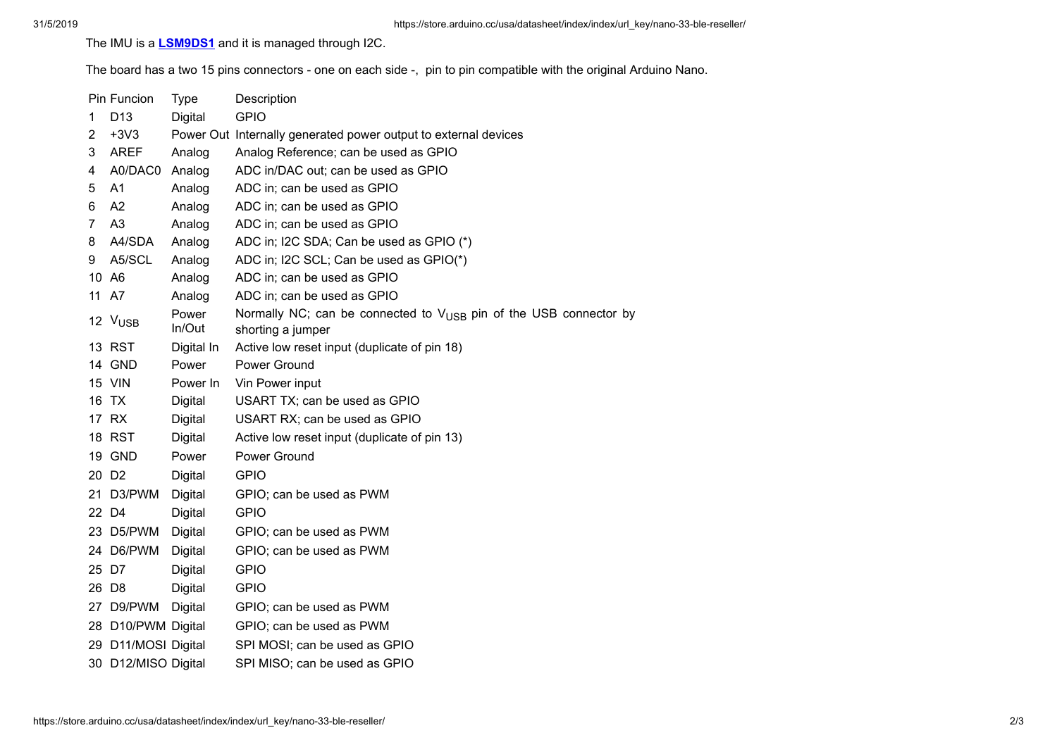The IMU is a **[LSM9DS1](https://www.st.com/resource/en/datasheet/DM00103319.pdf)** and it is managed through I2C.

The board has a two 15 pins connectors - one on each side -, pin to pin compatible with the original Arduino Nano.

|   | Pin Funcion         | Type            | Description                                                                                        |
|---|---------------------|-----------------|----------------------------------------------------------------------------------------------------|
| 1 | D <sub>13</sub>     | Digital         | <b>GPIO</b>                                                                                        |
| 2 | $+3V3$              |                 | Power Out Internally generated power output to external devices                                    |
| 3 | <b>AREF</b>         | Analog          | Analog Reference; can be used as GPIO                                                              |
| 4 | A0/DAC0             | Analog          | ADC in/DAC out; can be used as GPIO                                                                |
| 5 | A <sub>1</sub>      | Analog          | ADC in; can be used as GPIO                                                                        |
| 6 | A2                  | Analog          | ADC in; can be used as GPIO                                                                        |
| 7 | A <sub>3</sub>      | Analog          | ADC in; can be used as GPIO                                                                        |
| 8 | A4/SDA              | Analog          | ADC in; I2C SDA; Can be used as GPIO (*)                                                           |
| 9 | A5/SCL              | Analog          | ADC in; I2C SCL; Can be used as GPIO(*)                                                            |
|   | 10 A6               | Analog          | ADC in; can be used as GPIO                                                                        |
|   | 11 A7               | Analog          | ADC in; can be used as GPIO                                                                        |
|   | 12 V <sub>USB</sub> | Power<br>In/Out | Normally NC; can be connected to $V_{\text{USB}}$ pin of the USB connector by<br>shorting a jumper |
|   | 13 RST              | Digital In      | Active low reset input (duplicate of pin 18)                                                       |
|   | 14 GND              | Power           | Power Ground                                                                                       |
|   | <b>15 VIN</b>       | Power In        | Vin Power input                                                                                    |
|   | 16 TX               | Digital         | USART TX; can be used as GPIO                                                                      |
|   | 17 RX               | Digital         | USART RX; can be used as GPIO                                                                      |
|   | 18 RST              | Digital         | Active low reset input (duplicate of pin 13)                                                       |
|   | 19 GND              | Power           | Power Ground                                                                                       |
|   | 20 D <sub>2</sub>   | <b>Digital</b>  | <b>GPIO</b>                                                                                        |
|   | 21 D3/PWM           | Digital         | GPIO; can be used as PWM                                                                           |
|   | 22 D4               | Digital         | <b>GPIO</b>                                                                                        |
|   | 23 D5/PWM           | Digital         | GPIO; can be used as PWM                                                                           |
|   | 24 D6/PWM           | <b>Digital</b>  | GPIO; can be used as PWM                                                                           |
|   | 25 D7               | Digital         | <b>GPIO</b>                                                                                        |
|   | 26 D8               | Digital         | <b>GPIO</b>                                                                                        |
|   | 27 D9/PWM           | Digital         | GPIO; can be used as PWM                                                                           |
|   | 28 D10/PWM Digital  |                 | GPIO; can be used as PWM                                                                           |
|   | 29 D11/MOSI Digital |                 | SPI MOSI; can be used as GPIO                                                                      |
|   | 30 D12/MISO Digital |                 | SPI MISO; can be used as GPIO                                                                      |
|   |                     |                 |                                                                                                    |